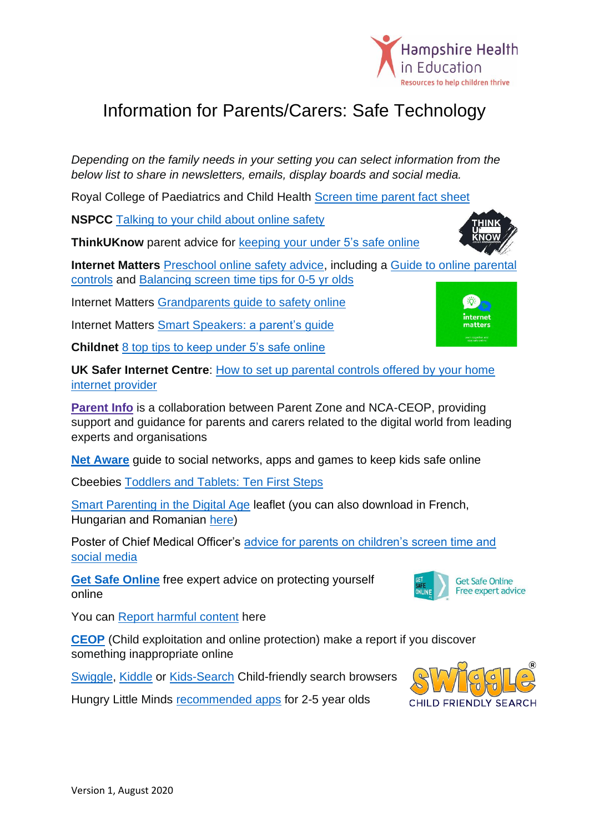

## Information for Parents/Carers: Safe Technology

*Depending on the family needs in your setting you can select information from the below list to share in newsletters, emails, display boards and social media.*

Royal College of Paediatrics and Child Health Screen [time parent fact sheet](https://www.rcpch.ac.uk/sites/default/files/2018-12/rcpch_screen_time_parent_fact_sheet_-_final.pdf)

**NSPCC** [Talking to your child about online safety](https://www.nspcc.org.uk/keeping-children-safe/online-safety/talking-child-online-safety/)

**ThinkUKnow** parent advice for **keeping your under 5's safe online** 

**Internet Matters** [Preschool online safety advice,](https://www.internetmatters.org/advice/0-5/) including a [Guide to online parental](https://www.internetmatters.org/parental-controls/)  [controls](https://www.internetmatters.org/parental-controls/) and [Balancing screen](https://www.internetmatters.org/resources/screen-time-tips-to-support-0-5-year-olds/) time tips for 0-5 yr olds

Internet Matters [Grandparents guide to safety online](https://www.internetmatters.org/resources/grandparents-guide-to-online-safety/)

Internet Matters [Smart Speakers: a parent's guide](https://www.internetmatters.org/resources/smart-speakers-a-parents-guide/)

**Childnet** [8 top tips to keep under 5's safe online](https://www.childnet.com/ufiles/Keeping-Under-Fives-Safe-Online2.pdf)

**UK Safer Internet Centre**: [How to set up parental controls offered by your home](https://www.saferinternet.org.uk/advice-centre/parents-and-carers/parental-controls-offered-your-home-internet-provider)  [internet provider](https://www.saferinternet.org.uk/advice-centre/parents-and-carers/parental-controls-offered-your-home-internet-provider)

**[Parent](https://parentinfo.org/) Info** is a collaboration between Parent Zone and NCA-CEOP, providing support and guidance for parents and carers related to the digital world from leading experts and organisations

**[Net Aware](https://www.net-aware.org.uk/)** guide to social networks, apps and games to keep kids safe online

Cbeebies [Toddlers and Tablets: Ten First Steps](https://www.bbc.co.uk/cbeebies/grownups/toddlers-and-tablets)

[Smart Parenting in the Digital Age](http://digilitey.eu/wp-content/uploads/2019/03/DigilitEY-Smart-Parenting-English.pdf) leaflet (you can also download in French, Hungarian and Romanian [here\)](http://digilitey.eu/smartparenting/)

Poster of Chief Medical Officer's [advice for parents on children's screen time and](https://digitalwellbeing.org/wp-content/uploads/2019/02/Infographic-UK-CMO-Digital-Wellbeing-Guidelines.pdf)  [social media](https://digitalwellbeing.org/wp-content/uploads/2019/02/Infographic-UK-CMO-Digital-Wellbeing-Guidelines.pdf)

**Get [Safe Online](https://www.getsafeonline.org/)** free expert advice on protecting yourself online

You can [Report harmful content](https://reportharmfulcontent.com/) here

**[CEOP](https://www.ceop.police.uk/safety-centre/)** (Child exploitation and online protection) make a report if you discover something inappropriate online

[Swiggle,](https://swiggle.org.uk/) [Kiddle](https://www.kiddle.co/) or [Kids-Search](https://www.kids-search.com/) Child-friendly search browsers

Hungry Little Minds [recommended apps](https://hungrylittleminds.campaign.gov.uk/#information) for 2-5 year olds



**Get Safe Online** Free expert advice